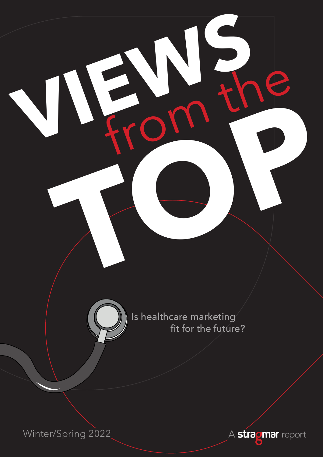

**VIEWS** from the

Is healthcare marketing fit for the future?

**Troma** 

Winter/Spring 2022

A **stragmar** report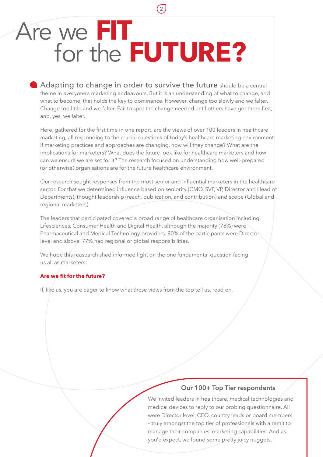# Are we **FIT** for the **FUTURE?**

Adapting to change in order to survive the future should be a central theme in everyone's marketing endeavours. But it is an understanding of what to change, and what to become, that holds the key to dominance. However, change too slowly and we falter. Change too little and we falter. Fail to spot the change needed until others have got there first, and, yes, we falter.

**2**

Here, gathered for the first time in one report, are the views of over 100 leaders in healthcare marketing, all responding to the crucial questions of today's healthcare marketing environment: if marketing practices and approaches are changing, how will they change? What are the implications for marketers? What does the future look like for healthcare marketers and how can we ensure we are set for it? The research focused on understanding how well-prepared (or otherwise) organisations are for the future healthcare environment.

Our research sought responses from the most senior and influential marketers in the healthcare sector. For that we determined influence based on seniority (CMO, SVP, VP, Director and Head of Departments), thought leadership (reach, publication, and contribution) and scope (Global and regional marketers).

The leaders that participated covered a broad range of healthcare organisation including Lifesciences, Consumer Health and Digital Health, although the majority (78%) were Pharmaceutical and Medical Technology providers. 80% of the participants were Director level and above. 77% had regional or global responsibilities.

We hope this reasearch shed informed light on the one fundamental question facing us all as marketers:

### **Are we fit for the future?**

If, like us, you are eager to know what these views from the top tell us, read on.

### **Our 100+ Top Tier respondents**

We invited leaders in healthcare, medical technologies and medical devices to reply to our probing questionnaire. All were Director level, CEO, country leads or board members – truly amongst the top tier of professionals with a remit to manage their companies' marketing capabilities. And as you'd expect, we found some pretty juicy nuggets.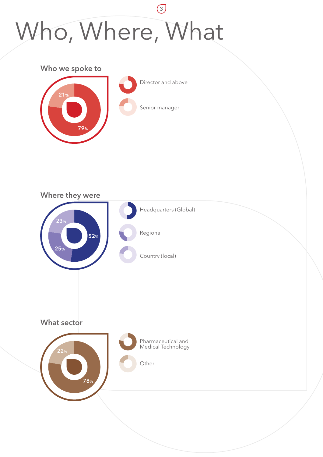### **3** Who, Where, What





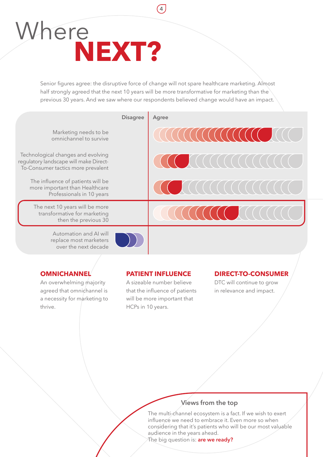### Where  **NEXT?**

Senior figures agree: the disruptive force of change will not spare healthcare marketing. Almost half strongly agreed that the next 10 years will be more transformative for marketing than the previous 30 years. And we saw where our respondents believed change would have an impact.

**4**



### **OMNICHANNEL**

An overwhelming majority agreed that omnichannel is a necessity for marketing to thrive.

### **PATIENT INFLUENCE**

A sizeable number believe that the influence of patients will be more important that HCPs in 10 years.

### **DIRECT-TO-CONSUMER**

DTC will continue to grow in relevance and impact.

### **Views from the top**

The multi-channel ecosystem is a fact. If we wish to exert influence we need to embrace it. Even more so when considering that it's patients who will be our most valuable audience in the years ahead.

The big question is: **are we ready?**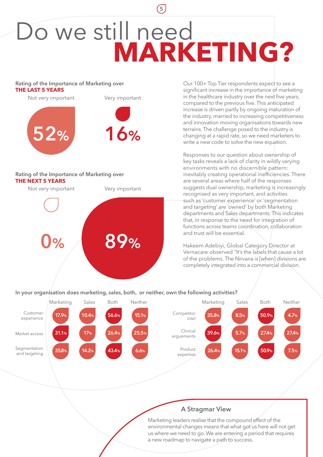### Do we still need **MARKETING?**

**5**

#### **Rating of the Importance of Marketing over THE LAST 5 YEARS**



#### **Rating of the Importance of Marketing over THE NEXT 5 YEARS**

**0% 89%** Not very important Very important Our 100+ Top Tier respondents expect to see a significant increase in the importance of marketing in the healthcare industry over the next five years, compared to the previous five. This anticipated increase is driven partly by ongoing maturation of the industry, married to increasing competitiveness and innovation moving organisations towards new terrains. The challenge posed to the industry is changing at a rapid rate, so we need marketers to write a new code to solve the new equation.

Responses to our question about ownership of key tasks reveals a lack of clarity in wildly varying environments with no discernible pattern: inevitably creating operational inefficiencies. There are several areas where half of the responses suggests dual ownership, marketing is increasingly recognised as very important, and activities such as 'customer experience' or 'segmentation and targeting' are 'owned' by both Marketing departments and Sales departments. This indicates that, in response to the need for integration of functions across teams coordination, collaboration and trust will be essential.

Hakeem Adebiyi, Global Category Director at Vernacare observed "It's the labels that cause a lot of the problems. The Nirvana is [when] divisions are completely integrated into a commercial division.

### **In your organisation does marketing, sales, both, or neither, own the following activities?**



### **A Stragmar View**

Marketing leaders realise that the compound effect of the environmental changes means that what got us here will not get us where we need to go. We are entering a period that requires a new roadmap to navigate a path to success.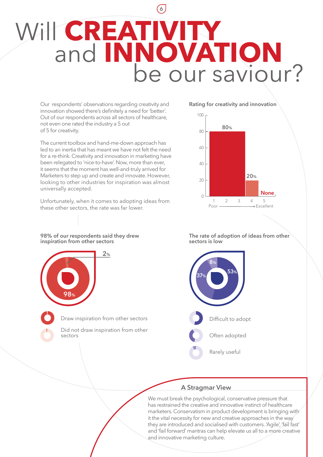## **6** Will **CREATIVITY**<br>and **INNOVATION**<br>be our saviour?

Our respondents' observations regarding creativity and innovation showed there's definitely a need for 'better'. Out of our respondents across all sectors of healthcare, not even one rated the industry a 5 out of 5 for creativity.

The current toolbox and hand-me-down approach has led to an inertia that has meant we have not felt the need for a re-think. Creativity and innovation in marketing have been relegated to 'nice-to-have'. Now, more than ever, it seems that the moment has well-and-truly arrived for Marketers to step up and create and innovate. However, looking to other industries for inspiration was almost universally accepted.

Unfortunately, when it comes to adopting ideas from these other sectors, the rate was far lower.

**98% of our respondents said they drew inspiration from other sectors** 



Draw inspiration from other sectors

Did not draw inspiration from other sectors

**Rating for creativity and innovation**



**The rate of adoption of ideas from other sectors is low**



### **A Stragmar View**

We must break the psychological, conservative pressure that has restrained the creative and innovative instinct of healthcare marketers. Conservatism in product development is bringing with it the vital necessity for new and creative approaches in the way they are introduced and socialised with customers. 'Agile', 'fail fast' and 'fail forward' mantras can help elevate us all to a more creative and innovative marketing culture.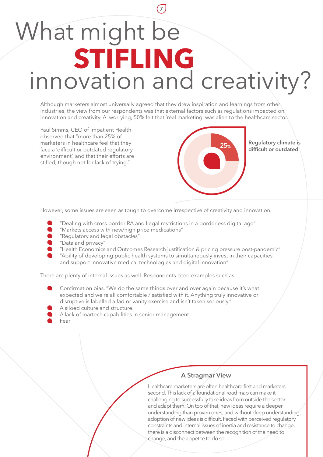### **7** What might be **STIFLING** innovation and creativity?

Although marketers almost universally agreed that they drew inspiration and learnings from other industries, the view from our respondents was that external factors such as regulations impacted on innovation and creativity. A worrying, 50% felt that 'real marketing' was alien to the healthcare sector.

Paul Simms, CEO of Impatient Health observed that "more than 25% of marketers in healthcare feel that they face a 'difficult or outdated regulatory environment', and that their efforts are stifled, though not for lack of trying."



**Regulatory climate is difficult or outdated 25%** 

However, some issues are seen as tough to overcome irrespective of creativity and innovation.

- "Dealing with cross border RA and Legal restrictions in a borderless digital age"
- $\bullet$ "Markets access with new/high price medications"
- "Regulatory and legal obstacles"
- **C** "Data and privacy"
- "Health Economics and Outcomes Research justification & pricing pressure post-pandemic"
- "Ability of developing public health systems to simultaneously invest in their capacities and support innovative medical technologies and digital innovation"

There are plenty of internal issues as well. Respondents cited examples such as:

- Confirmation bias. "We do the same things over and over again because it's what expected and we're all comfortable / satisfied with it. Anything truly innovative or disruptive is labelled a fad or vanity exercise and isn't taken seriously."
- A siloed culture and structure.
- A lack of martech capabilities in senior management.
- Fear

### **A Stragmar View**

Healthcare marketers are often healthcare first and marketers second. This lack of a foundational road map can make it challenging to successfully take ideas from outside the sector and adapt them. On top of that, new ideas require a deeper understanding than proven ones, and without deep understanding, adoption of new ideas is difficult. Faced with perceived regulatory constraints and internal issues of inertia and resistance to change, there is a disconnect between the recognition of the need to change, and the appetite to do so.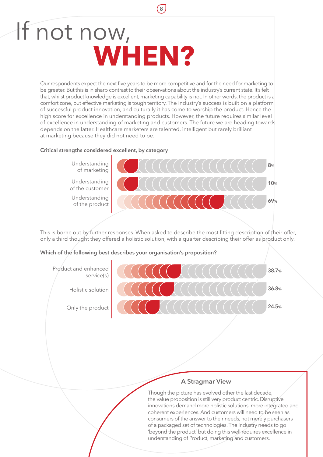### If not now,  **WHEN?**

Our respondents expect the next five years to be more competitive and for the need for marketing to be greater. But this is in sharp contrast to their observations about the industry's current state. It's felt that, whilst product knowledge is excellent, marketing capability is not. In other words, the product is a comfort zone, but effective marketing is tough territory. The industry's success is built on a platform of successful product innovation, and culturally it has come to worship the product. Hence the high score for excellence in understanding products. However, the future requires similar level of excellence in understanding of marketing and customers. The future we are heading towards depends on the latter. Healthcare marketers are talented, intelligent but rarely brilliant at marketing because they did not need to be.

**8**

#### **Critical strengths considered excellent, by category**



This is borne out by further responses. When asked to describe the most fitting description of their offer, only a third thought they offered a holistic solution, with a quarter describing their offer as product only.

### **Which of the following best describes your organisation's proposition?**



### **A Stragmar View**

Though the picture has evolved other the last decade, the value proposition is still very product centric. Disruptive innovations demand more holistic solutions, more integrated and coherent experiences. And customers will need to be seen as consumers of the answer to their needs, not merely purchasers of a packaged set of technologies. The industry needs to go 'beyond the product' but doing this well requires excellence in understanding of Product, marketing and customers.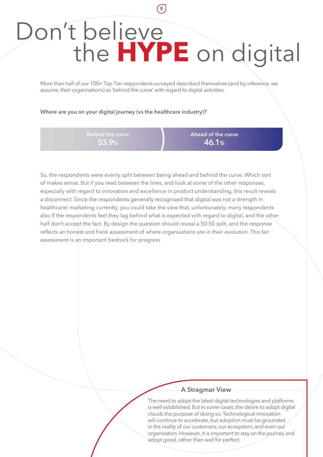### Don't believe the **HYPE** on digital

**9**

More than half of our 100+ Top Tier respondents surveyed described themselves (and by inference, we assume, their organisations) as 'behind the curve' with regard to digital activities.

#### **Where are you on your digital journey (vs the healthcare industry)?**

**53.9%**

**Ahead of the curve 46.1%**

So, the respondents were evenly split between being ahead and behind the curve. Which sort of makes sense. But if you read between the lines, and look at some of the other responses, especially with regard to innovation and excellence in product understanding, this result reveals a disconnect. Since the respondents generally recognised that digital was not a strength in healthcarer marketing currently, you could take the view that, unfortiunately, many respondents also lf the respondents feel they lag behind what is expected with regard to digital, and the other half don't accept the fact. By design the question should reveal a 50:50 split, and the response reflects an honest and frank assessment of where organisations are in their evolution. This fair assessment is an important bedrock for progress

### **A Stragmar View**

The need to adopt the latest digital technologies and platforms is well established. But in some cases, the desire to adopt digital clouds the purpose of doing so. Technological innovation will continue to accelerate, but adoption must be grounded in the reality of our customers, our ecosystem, and even our organisation. However, it is important to stay on the journey and adopt good, rather than wait for perfect.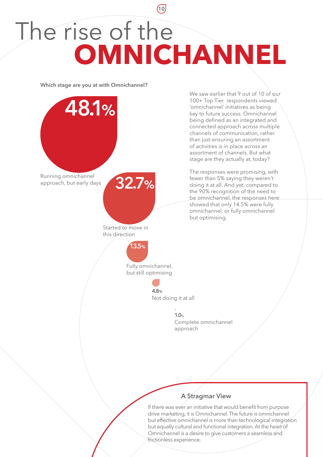### **10** The rise of the **OMNICHANNEL**

**Which stage are you at with Omnichannel?**

We saw earlier that 9 out of 10 of our 100+ Top Tier respondents viewed 'omnichannel' initiatives as being key to future success. Omnichannel being defined as an integrated and connected approach across multiple channels of communication, rather than just ensuring an assortment of activities is in place across an assortment of channels. But what stage are they actually at, today? The responses were promising, with fewer than 5% saying they weren't doing it at all. And yet, compared to the 90% recognition of the need to be omnichannel, the responses here showed that only 14.5% were fully omnichannel, or fully omnichannel but optimising. **48.1%** Running omnichannel<br>approach, but early days approach, but early days **32.7%** Started to move in this direction **13.5%** Fully omnichannel, but still optimising **4.8%** Not doing it at all **1.0%**

### Complete omnichannel approach

### **A Stragmar View**

If there was ever an initiative that would benefit from purpose drive marketing, it is Omnichannel. The future is omnichannel but effective omnichannel is more than technological integration but equally cultural and functional integration. At the heart of Omnichannel is a desire to give customers a seamless and frictionless experience.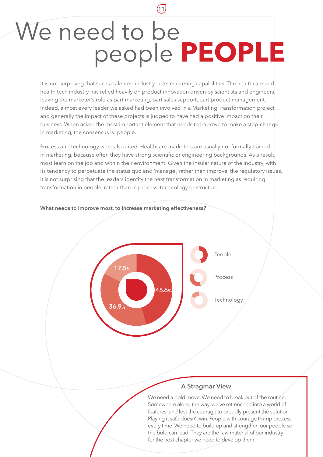### We need to be people **PEOPLE**

**11**

It is not surprising that such a talented industry lacks marketing capabilities. The healthcare and health tech industry has relied heavily on product innovation driven by scientists and engineers, leaving the marketer's role as part marketing, part sales support, part product management. Indeed, almost every leader we asked had been involved in a Marketing Transformation project, and generally the impact of these projects is judged to have had a positive impact on their business. When asked the most important element that needs to improve to make a step-change in marketing, the consensus is: people.

Process and technology were also cited. Healthcare marketers are usually not formally trained in marketing, because often they have strong scientific or engineering backgrounds. As a result, most learn on the job and within their environment. Given the insular nature of the industry, with its tendency to perpetuate the status quo and 'manage', rather than improve, the regulatory issues, it is not surprising that the leaders identify the next transformation in marketing as requiring transformation in people, rather than in process, technology or structure.



### **What needs to improve most, to increase marketing effectiveness?**

### **A Stragmar View**

We need a bold move. We need to break out of the routine. Somewhere along the way, we've retrenched into a world of features, and lost the courage to proudly present the solution. Playing it safe doesn't win. People with courage trump process, every time. We need to build up and strengthen our people so the bold can lead. They are the raw material of our industry – for the next chapter we need to develop them.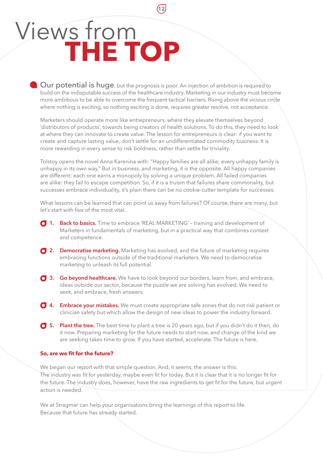### Views from **THE TOP**

Our potential is huge, but the prognosis is poor. An injection of ambition is required to build on the indisputable success of the healthcare industry. Marketing in our industry must become more ambitious to be able to overcome the frequent tactical barriers. Rising above the vicious circle where nothing is exciting, so nothing exciting is done, requires greater resolve, not acceptance.

**12**

Marketers should operate more like entrepreneurs, where they elevate themselves beyond 'distributors of products', towards being creators of health solutions. To do this, they need to look at where they can innovate to create value. The lesson for entrepreneurs is clear: if you want to create and capture lasting value, don't settle for an undifferentiated commodity business. It is more rewarding in every sense to risk boldness, rather than settle for triviality.

Tolstoy opens the novel Anna Karenina with: "Happy families are all alike; every unhappy family is unhappy in its own way." But in business, and marketing, it is the opposite. All happy companies are different: each one earns a monopoly by solving a unique problem. All failed companies are alike: they fail to escape competition. So, if it is a truism that failures share commonality, but successes embrace individuality, it's plain there can be no cookie-cutter template for successes.

What lessons can be learned that can point us away from failures? Of course, there are many, but let's start with five of the most vital.

- **1. Back to basics.** Time to embrace 'REAL MARKETING' training and development of Marketers in fundamentals of marketing, but in a practical way that combines context and competence.
- **2. Democratise marketing.** Marketing has evolved, and the future of marketing requires embracing functions outside of the traditional marketers. We need to democratise marketing to unleash its full potential.
- **3. Go beyond healthcare.** We have to look beyond our borders, learn from, and embrace, ideas outside our sector, because the puzzle we are solving has evolved. We need to seek, and embrace, fresh answers.
- **4. Embrace your mistakes.** We must create appropriate safe zones that do not risk patient or clinician safety but which allow the design of new ideas to power the industry forward.
- **5. Plant the tree.** The best time to plant a tree is 20 years ago, but if you didn't do it then, do it now. Preparing marketing for the future needs to start now, and change of the kind we are seeking takes time to grow. If you have started, accelerate. The future is here.

#### **So, are we fit for the future?**

We began our report with that simple question. And, it seems, the answer is this: The industry *was* fit for yesterday, maybe even fit for today. But it is clear that it is no longer fit for the future. The industry does, however, have the raw ingredients to get fit for the future, but urgent action is needed.

We at Stragmar can help your organisations bring the learnings of this report to life. Because that future has already started.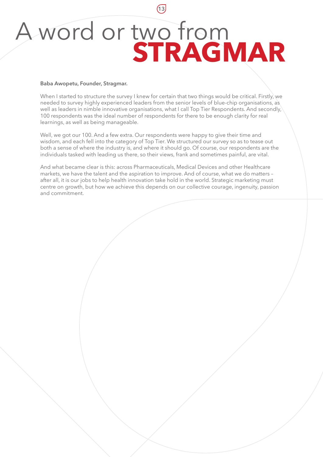### A word or two from **STRAGMAR**

**13**

#### **Baba Awopetu, Founder, Stragmar.**

When I started to structure the survey I knew for certain that two things would be critical. Firstly, we needed to survey highly experienced leaders from the senior levels of blue-chip organisations, as well as leaders in nimble innovative organisations, what I call Top Tier Respondents. And secondly, 100 respondents was the ideal number of respondents for there to be enough clarity for real learnings, as well as being manageable.

Well, we got our 100. And a few extra. Our respondents were happy to give their time and wisdom, and each fell into the category of Top Tier. We structured our survey so as to tease out both a sense of where the industry is, and where it should go. Of course, our respondents are the individuals tasked with leading us there, so their views, frank and sometimes painful, are vital.

And what became clear is this: across Pharmaceuticals, Medical Devices and other Healthcare markets, we have the talent and the aspiration to improve. And of course, what we do matters – after all, it is our jobs to help health innovation take hold in the world. Strategic marketing must centre on growth, but how we achieve this depends on our collective courage, ingenuity, passion and commitment.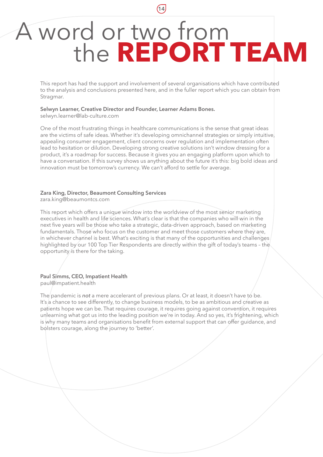### A word or two from the **REPORT TEAM**

**14**

This report has had the support and involvement of several organisations which have contributed to the analysis and conclusions presented here, and in the fuller report which you can obtain from Stragmar.

#### **[Selwyn Learner, Creative Director and Founder, Learner Adams Bones.](mailto:selwyn.learner@lab-culture.com?subject=Stragmar Report enquiry)**

selwyn.learner@lab-culture.com

One of the most frustrating things in healthcare communications is the sense that great ideas are the victims of safe ideas. Whether it's developing omnichannel strategies or simply intuitive, appealing consumer engagement, client concerns over regulation and implementation often lead to hesitation or dilution. Developing strong creative solutions isn't window dressing for a product, it's a roadmap for success. Because it gives you an engaging platform upon which to have a conversation. If this survey shows us anything about the future it's this: big bold ideas and innovation must be tomorrow's currency. We can't afford to settle for average.

#### **[Zara King, Director, Beaumont Consulting Services](mailto:zara.king@beaumontcs.com?subject=Stragmar Report enquiry)**

zara.king@beaumontcs.com

This report which offers a unique window into the worldview of the most senior marketing executives in health and life sciences. What's clear is that the companies who will win in the next five years will be those who take a strategic, data-driven approach, based on marketing fundamentals. Those who focus on the customer and meet those customers where they are, in whichever channel is best. What's exciting is that many of the opportunities and challenges highlighted by our 100 Top Tier Respondents are directly within the gift of today's teams – the opportunity is there for the taking.

#### **[Paul Simms, CEO, Impatient Health](mailto:paul@impatient.health?subject=Stragmar Report enquiry)** paul@impatient.health

The pandemic is **not** a mere accelerant of previous plans. Or at least, it doesn't have to be. It's a chance to see differently, to change business models, to be as ambitious and creative as patients hope we can be. That requires courage, it requires going against convention, it requires unlearning what got us into the leading position we're in today. And so yes, it's frightening, which is why many teams and organisations benefit from external support that can offer guidance, and bolsters courage, along the journey to 'better'.